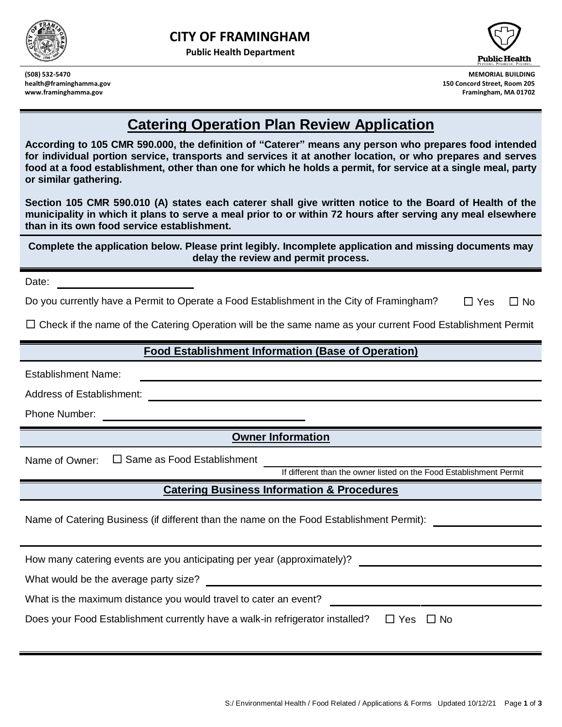



**(508) 532-5470 MEMORIAL BUILDING health@framinghamma.gov 150 Concord Street, Room 205 www.framinghamma.gov Framingham, MA 01702**

## **Catering Operation Plan Review Application**

**According to 105 CMR 590.000, the definition of "Caterer" means any person who prepares food intended for individual portion service, transports and services it at another location, or who prepares and serves food at a food establishment, other than one for which he holds a permit, for service at a single meal, party or similar gathering.** 

**Section 105 CMR 590.010 (A) states each caterer shall give written notice to the Board of Health of the municipality in which it plans to serve a meal prior to or within 72 hours after serving any meal elsewhere than in its own food service establishment.** 

**Complete the application below. Please print legibly. Incomplete application and missing documents may delay the review and permit process.**

Date: **Date:** 

Do you currently have a Permit to Operate a Food Establishment in the City of Framingham? □ Yes □ No

☐ Check if the name of the Catering Operation will be the same name as your current Food Establishment Permit

## **Food Establishment Information (Base of Operation)**

Establishment Name:

Address of Establishment: **Address of Establishment:** 

Phone Number:

## **Owner Information**

Name of Owner: □ Same as Food Establishment

If different than the owner listed on the Food Establishment Permit

## **Catering Business Information & Procedures**

Name of Catering Business (if different than the name on the Food Establishment Permit):

How many catering events are you anticipating per year (approximately)? What would be the average party size? What is the maximum distance you would travel to cater an event? Does your Food Establishment currently have a walk-in refrigerator installed?  $□$  Yes  $□$  No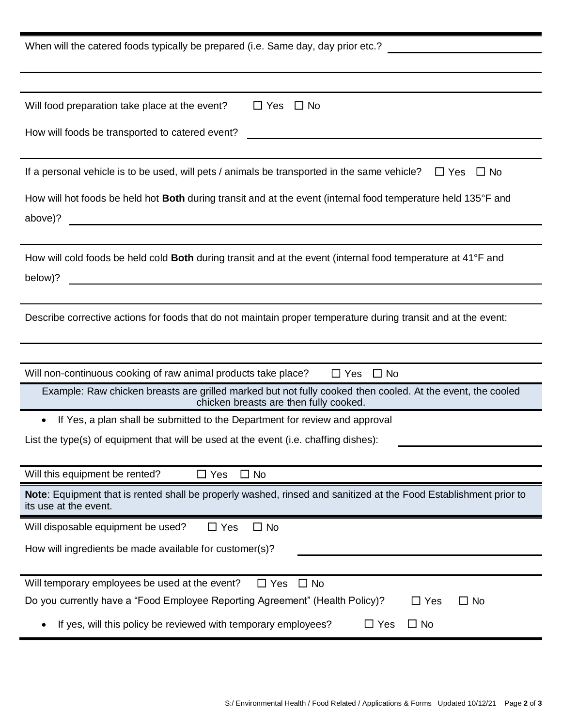| When will the catered foods typically be prepared (i.e. Same day, day prior etc.?                                                                                                                    |
|------------------------------------------------------------------------------------------------------------------------------------------------------------------------------------------------------|
|                                                                                                                                                                                                      |
|                                                                                                                                                                                                      |
| Will food preparation take place at the event?<br>$\Box$ Yes $\Box$ No                                                                                                                               |
| How will foods be transported to catered event?                                                                                                                                                      |
|                                                                                                                                                                                                      |
| If a personal vehicle is to be used, will pets / animals be transported in the same vehicle?<br>$\Box$ Yes $\Box$ No                                                                                 |
| How will hot foods be held hot Both during transit and at the event (internal food temperature held 135°F and                                                                                        |
| above)?<br><u> 1980 - Johann John Stein, marwolaeth a bhann an t-Amhainn an t-Amhainn an t-Amhainn an t-Amhainn an t-Amhain</u>                                                                      |
| How will cold foods be held cold <b>Both</b> during transit and at the event (internal food temperature at 41°F and<br>below)?<br><u> 1980 - Jan Samuel Barbara, margaret eta idazlea (h. 1980).</u> |
|                                                                                                                                                                                                      |
| Describe corrective actions for foods that do not maintain proper temperature during transit and at the event:                                                                                       |
|                                                                                                                                                                                                      |
| Will non-continuous cooking of raw animal products take place?<br>$\Box$ Yes $\Box$ No                                                                                                               |
| Example: Raw chicken breasts are grilled marked but not fully cooked then cooled. At the event, the cooled<br>chicken breasts are then fully cooked.                                                 |
| If Yes, a plan shall be submitted to the Department for review and approval<br>$\bullet$                                                                                                             |
| List the type(s) of equipment that will be used at the event (i.e. chaffing dishes):                                                                                                                 |
|                                                                                                                                                                                                      |
| Will this equipment be rented?<br>$\Box$ Yes<br>$\Box$ No                                                                                                                                            |
| Note: Equipment that is rented shall be properly washed, rinsed and sanitized at the Food Establishment prior to<br>its use at the event.                                                            |
| Will disposable equipment be used?<br>$\Box$ No<br>$\Box$ Yes                                                                                                                                        |
| How will ingredients be made available for customer(s)?                                                                                                                                              |
|                                                                                                                                                                                                      |
| Will temporary employees be used at the event?<br>$\Box$ Yes<br>$\Box$ No                                                                                                                            |
| Do you currently have a "Food Employee Reporting Agreement" (Health Policy)?<br>$\Box$ No<br>$\Box$ Yes                                                                                              |
| If yes, will this policy be reviewed with temporary employees?<br>$\Box$ Yes<br>$\Box$ No                                                                                                            |